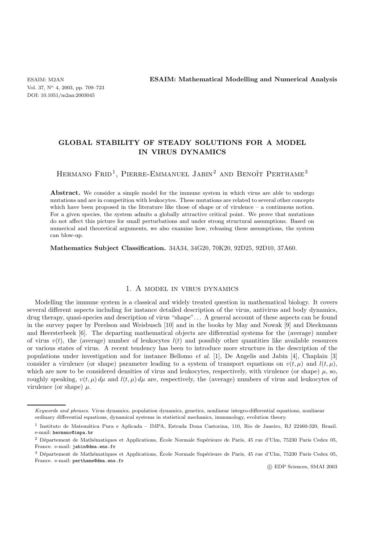Vol. 37, N<sup>o</sup> 4, 2003, pp. 709–723 DOI: 10.1051/m2an:2003045

# **GLOBAL STABILITY OF STEADY SOLUTIONS FOR A MODEL IN VIRUS DYNAMICS**

HERMANO  $FRD<sup>1</sup>$ , PIERRE-EMMANUEL JABIN<sup>2</sup> AND BENOÎT PERTHAME<sup>3</sup>

Abstract. We consider a simple model for the immune system in which virus are able to undergo mutations and are in competition with leukocytes. These mutations are related to several other concepts which have been proposed in the literature like those of shape or of virulence  $-$  a continuous notion. For a given species, the system admits a globally attractive critical point. We prove that mutations do not affect this picture for small perturbations and under strong structural assumptions. Based on numerical and theoretical arguments, we also examine how, releasing these assumptions, the system can blow-up.

**Mathematics Subject Classification.** 34A34, 34G20, 70K20, 92D25, 92D10, 37A60.

## 1. A model in virus dynamics

Modelling the immune system is a classical and widely treated question in mathematical biology. It covers several different aspects including for instance detailed description of the virus, antivirus and body dynamics, drug therapy, quasi-species and description of virus "shape". . . A general account of these aspects can be found in the survey paper by Perelson and Weisbusch [10] and in the books by May and Nowak [9] and Dieckmann and Heersterbeek [6]. The departing mathematical objects are differential systems for the (average) number of virus  $v(t)$ , the (average) number of leukocytes  $l(t)$  and possibly other quantities like available resources or various states of virus. A recent tendency has been to introduce more structure in the description of the populations under investigation and for instance Bellomo *et al.* [1], De Angelis and Jabin [4], Chaplain [3] consider a virulence (or shape) parameter leading to a system of transport equations on  $v(t, \mu)$  and  $l(t, \mu)$ , which are now to be considered densities of virus and leukocytes, respectively, with virulence (or shape)  $\mu$ , so, roughly speaking,  $v(t, \mu) d\mu$  and  $l(t, \mu) d\mu$  are, respectively, the (average) numbers of virus and leukocytes of virulence (or shape)  $\mu$ .

Keywords and phrases. Virus dynamics, population dynamics, genetics, nonlinear integro-differential equations, nonlinear ordinary differential equations, dynamical systems in statistical mechanics, immunology, evolution theory.

<sup>1</sup> Instituto de Matem´atica Pura e Aplicada – IMPA, Estrada Dona Castorina, 110, Rio de Janeiro, RJ 22460-320, Brazil. e-mail: hermano@impa.br

<sup>&</sup>lt;sup>2</sup> Département de Mathématiques et Applications, École Normale Supérieure de Paris, 45 rue d'Ulm, 75230 Paris Cedex 05, France. e-mail: jabin@dma.ens.fr

 $3$  Département de Mathématiques et Applications, École Normale Supérieure de Paris, 45 rue d'Ulm, 75230 Paris Cedex 05, France. e-mail: perthame@dma.ens.fr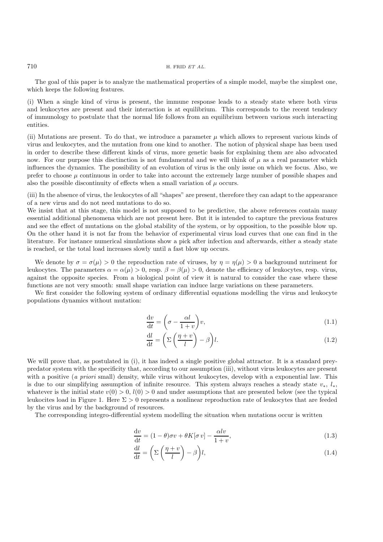The goal of this paper is to analyze the mathematical properties of a simple model, maybe the simplest one, which keeps the following features.

(i) When a single kind of virus is present, the immune response leads to a steady state where both virus and leukocytes are present and their interaction is at equilibrium. This corresponds to the recent tendency of immunology to postulate that the normal life follows from an equilibrium between various such interacting entities.

(ii) Mutations are present. To do that, we introduce a parameter  $\mu$  which allows to represent various kinds of virus and leukocytes, and the mutation from one kind to another. The notion of physical shape has been used in order to describe these different kinds of virus, more genetic basis for explaining them are also advocated now. For our purpose this disctinction is not fundamental and we will think of  $\mu$  as a real parameter which influences the dynamics. The possibility of an evolution of virus is the only issue on which we focus. Also, we prefer to choose  $\mu$  continuous in order to take into account the extremely large number of possible shapes and also the possible discontinuity of effects when a small variation of  $\mu$  occurs.

(iii) In the absence of virus, the leukocytes of all "shapes" are present, therefore they can adapt to the appearance of a new virus and do not need mutations to do so.

We insist that at this stage, this model is not supposed to be predictive, the above references contain many essential additional phenomena which are not present here. But it is intended to capture the previous features and see the effect of mutations on the global stability of the system, or by opposition, to the possible blow up. On the other hand it is not far from the behavior of experimental virus load curves that one can find in the literature. For instance numerical simulations show a pick after infection and afterwards, either a steady state is reached, or the total load increases slowly until a fast blow up occurs.

We denote by  $\sigma = \sigma(\mu) > 0$  the reproduction rate of viruses, by  $\eta = \eta(\mu) > 0$  a background nutriment for leukocytes. The parameters  $\alpha = \alpha(\mu) > 0$ , resp.  $\beta = \beta(\mu) > 0$ , denote the efficiency of leukocytes, resp. virus, against the opposite species. From a biological point of view it is natural to consider the case where these functions are not very smooth: small shape variation can induce large variations on these parameters.

We first consider the following system of ordinary differential equations modelling the virus and leukocyte populations dynamics without mutation:

$$
\frac{\mathrm{d}v}{\mathrm{d}t} = \left(\sigma - \frac{\alpha l}{1+v}\right)v,\tag{1.1}
$$

$$
\frac{dl}{dt} = \left(\Sigma \left(\frac{\eta + v}{l}\right) - \beta\right)l.\tag{1.2}
$$

We will prove that, as postulated in (i), it has indeed a single positive global attractor. It is a standard preypredator system with the specificity that, according to our assumption (iii), without virus leukocytes are present with a positive (*a priori* small) density, while virus without leukocytes, develop with a exponential law. This is due to our simplifying assumption of infinite resource. This system always reaches a steady state  $v_*$ ,  $l_*$ , whatever is the initial state  $v(0) > 0$ ,  $l(0) > 0$  and under assumptions that are presented below (see the typical leukocites load in Figure 1. Here  $\Sigma > 0$  represents a nonlinear reproduction rate of leukocytes that are feeded by the virus and by the background of resources.

The corresponding integro-differential system modelling the situation when mutations occur is written

$$
\frac{dv}{dt} = (1 - \theta)\sigma v + \theta K[\sigma v] - \frac{\alpha l v}{1 + v},\tag{1.3}
$$

$$
\frac{dl}{dt} = \left(\Sigma \left(\frac{\eta + v}{l}\right) - \beta\right)l,\tag{1.4}
$$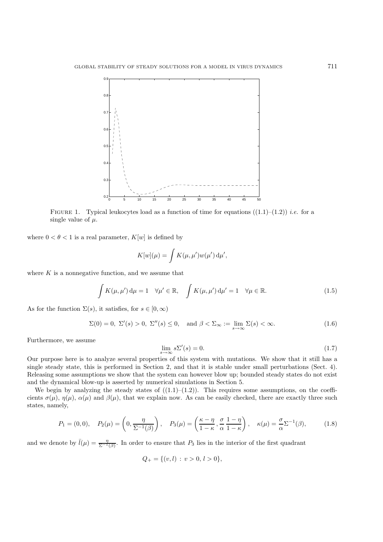

FIGURE 1. Typical leukocytes load as a function of time for equations  $((1.1)-(1.2))$  *i.e.* for a single value of  $\mu$ .

where  $0 < \theta < 1$  is a real parameter,  $K[w]$  is defined by

$$
K[w](\mu) = \int K(\mu, \mu') w(\mu') d\mu',
$$

where  $K$  is a nonnegative function, and we assume that

$$
\int K(\mu, \mu') d\mu = 1 \quad \forall \mu' \in \mathbb{R}, \quad \int K(\mu, \mu') d\mu' = 1 \quad \forall \mu \in \mathbb{R}.
$$
 (1.5)

As for the function  $\Sigma(s)$ , it satisfies, for  $s \in [0,\infty)$ 

$$
\Sigma(0) = 0, \ \Sigma'(s) > 0, \ \Sigma''(s) \le 0, \quad \text{and } \beta < \Sigma_{\infty} := \lim_{s \to \infty} \Sigma(s) < \infty. \tag{1.6}
$$

Furthermore, we assume

$$
\lim_{s \to \infty} s \Sigma'(s) = 0. \tag{1.7}
$$

Our purpose here is to analyze several properties of this system with mutations. We show that it still has a single steady state, this is performed in Section 2, and that it is stable under small perturbations (Sect. 4). Releasing some assumptions we show that the system can however blow up; bounded steady states do not exist and the dynamical blow-up is asserted by numerical simulations in Section 5.

We begin by analyzing the steady states of  $((1.1)–(1.2))$ . This requires some assumptions, on the coefficients  $\sigma(\mu)$ ,  $\eta(\mu)$ ,  $\alpha(\mu)$  and  $\beta(\mu)$ , that we explain now. As can be easily checked, there are exactly three such states, namely,

$$
P_1 = (0,0), \quad P_2(\mu) = \left(0, \frac{\eta}{\Sigma^{-1}(\beta)}\right), \quad P_3(\mu) = \left(\frac{\kappa - \eta}{1 - \kappa}, \frac{\sigma}{\alpha} \frac{1 - \eta}{1 - \kappa}\right), \quad \kappa(\mu) = \frac{\sigma}{\alpha} \Sigma^{-1}(\beta), \tag{1.8}
$$

and we denote by  $\bar{l}(\mu) = \frac{\eta}{\Sigma^{-1}(\beta)}$ . In order to ensure that  $P_3$  lies in the interior of the first quadrant

$$
Q_{+} = \{(v, l) : v > 0, l > 0\},\
$$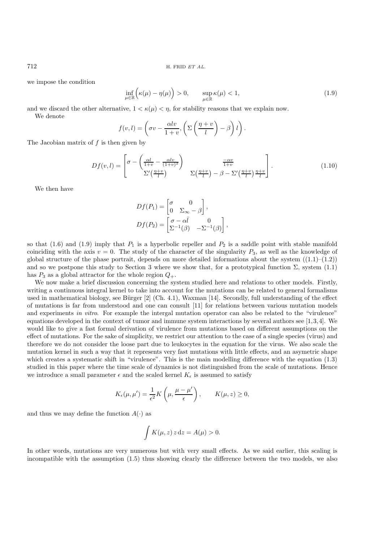we impose the condition

$$
\inf_{\mu \in \mathbb{R}} \left( \kappa(\mu) - \eta(\mu) \right) > 0, \qquad \sup_{\mu \in \mathbb{R}} \kappa(\mu) < 1,
$$
\n(1.9)

and we discard the other alternative,  $1 < \kappa(\mu) < \eta$ , for stability reasons that we explain now.

We denote

$$
f(v,l) = \left(\sigma v - \frac{\alpha l v}{1+v}, \left(\Sigma \left(\frac{\eta + v}{l}\right) - \beta\right)l\right).
$$

The Jacobian matrix of  $f$  is then given by

$$
Df(v,l) = \begin{bmatrix} \sigma - \left(\frac{\alpha l}{1+v} - \frac{\alpha l v}{(1+v)^2}\right) & \frac{-\alpha v}{1+v} \\ \Sigma' \left(\frac{\eta + v}{l}\right) & \Sigma \left(\frac{\eta + v}{l}\right) - \beta - \Sigma' \left(\frac{\eta + v}{l}\right) \frac{\eta + v}{l} \end{bmatrix}.
$$
 (1.10)

We then have

$$
Df(P_1) = \begin{bmatrix} \sigma & 0 \\ 0 & \Sigma_{\infty} - \beta \end{bmatrix},
$$
  

$$
Df(P_2) = \begin{bmatrix} \sigma - \alpha \overline{l} & 0 \\ \Sigma^{-1}(\beta) & -\Sigma^{-1}(\beta) \end{bmatrix},
$$

so that (1.6) and (1.9) imply that  $P_1$  is a hyperbolic repeller and  $P_2$  is a saddle point with stable manifold coinciding with the axis  $v = 0$ . The study of the character of the singularity  $P_3$ , as well as the knowledge of global structure of the phase portrait, depends on more detailed informations about the system  $((1.1)–(1.2))$ and so we postpone this study to Section 3 where we show that, for a prototypical function  $\Sigma$ , system (1.1) has  $P_3$  as a global attractor for the whole region  $Q_+$ .

We now make a brief discussion concerning the system studied here and relations to other models. Firstly, writing a continuous integral kernel to take into account for the mutations can be related to general formalisms used in mathematical biology, see Bürger  $[2]$  (Ch. 4.1), Waxman  $[14]$ . Secondly, full understanding of the effect of mutations is far from understood and one can consult [11] for relations between various mutation models and experiments *in vitro*. For example the intergal mutation operator can also be related to the "virulence" equations developed in the context of tumor and immune system interactions by several authors see [1,3,4]. We would like to give a fast formal derivation of virulence from mutations based on different assumptions on the effect of mutations. For the sake of simplicity, we restrict our attention to the case of a single species (virus) and therefore we do not consider the loose part due to leukocytes in the equation for the virus. We also scale the mutation kernel in such a way that it represents very fast mutations with little effects, and an asymetric shape which creates a systematic shift in "virulence". This is the main modelling difference with the equation (1.3) studied in this paper where the time scale of dynamics is not distinguished from the scale of mutations. Hence we introduce a small parameter  $\epsilon$  and the scaled kernel  $K_{\epsilon}$  is assumed to satisfy

$$
K_{\epsilon}(\mu, \mu') = \frac{1}{\epsilon^2} K\left(\mu, \frac{\mu - \mu'}{\epsilon}\right), \qquad K(\mu, z) \ge 0,
$$

and thus we may define the function  $A(\cdot)$  as

$$
\int K(\mu, z) z \, dz = A(\mu) > 0.
$$

In other words, mutations are very numerous but with very small effects. As we said earlier, this scaling is incompatible with the assumption (1.5) thus showing clearly the difference between the two models, we also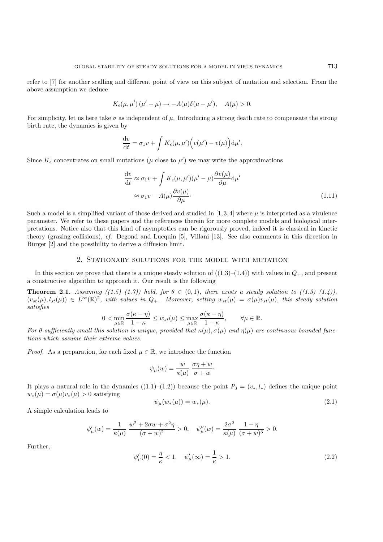refer to [7] for another scalling and different point of view on this subject of mutation and selection. From the above assumption we deduce

$$
K_{\epsilon}(\mu, \mu')(\mu' - \mu) \to -A(\mu)\delta(\mu - \mu'), \quad A(\mu) > 0.
$$

For simplicity, let us here take  $\sigma$  as independent of  $\mu$ . Introducing a strong death rate to compensate the strong birth rate, the dynamics is given by

$$
\frac{\mathrm{d}v}{\mathrm{d}t} = \sigma_1 v + \int K_{\epsilon}(\mu, \mu') \Big( v(\mu') - v(\mu) \Big) \mathrm{d}\mu'.
$$

Since  $K_{\epsilon}$  concentrates on small mutations ( $\mu$  close to  $\mu'$ ) we may write the approximations

$$
\frac{dv}{dt} \approx \sigma_1 v + \int K_{\epsilon}(\mu, \mu') (\mu' - \mu) \frac{\partial v(\mu)}{\partial \mu} d\mu'
$$
  

$$
\approx \sigma_1 v - A(\mu) \frac{\partial v(\mu)}{\partial \mu}.
$$
 (1.11)

Such a model is a simplified variant of those derived and studied in [1,3,4] where  $\mu$  is interpreted as a virulence parameter. We refer to these papers and the references therein for more complete models and biological interpretations. Notice also that this kind of asymptotics can be rigorously proved, indeed it is classical in kinetic theory (grazing collisions), *cf.* Degond and Lucquin [5], Villani [13]. See also comments in this direction in Bürger [2] and the possibility to derive a diffusion limit.

#### 2. Stationary solutions for the model with mutation

In this section we prove that there is a unique steady solution of  $((1.3)-(1.4))$  with values in  $Q_+$ , and present a constructive algorithm to approach it. Our result is the following

**Theorem 2.1.** *Assuming*  $((1.5)-(1.7))$  *hold, for*  $\theta \in (0,1)$ *, there exists a steady solution to*  $((1.3)-(1.4))$ *,*  $(v_{st}(\mu), l_{st}(\mu)) \in L^{\infty}(\mathbb{R})^2$ , with values in  $Q_+$ . Moreover, setting  $w_{st}(\mu) = \sigma(\mu)v_{st}(\mu)$ , this steady solution *satisfies*

$$
0 < \min_{\mu \in \mathbb{R}} \frac{\sigma(\kappa - \eta)}{1 - \kappa} \le w_{st}(\mu) \le \max_{\mu \in \mathbb{R}} \frac{\sigma(\kappa - \eta)}{1 - \kappa}, \qquad \forall \mu \in \mathbb{R}.
$$

*For*  $\theta$  *sufficiently small this solution is unique, provided that*  $\kappa(\mu)$ ,  $\sigma(\mu)$  *and*  $\eta(\mu)$  *are continuous bounded functions which assume their extreme values.*

*Proof.* As a preparation, for each fixed  $\mu \in \mathbb{R}$ , we introduce the function

$$
\psi_{\mu}(w) = \frac{w}{\kappa(\mu)} \frac{\sigma \eta + w}{\sigma + w}.
$$

It plays a natural role in the dynamics  $((1.1)-(1.2))$  because the point  $P_3 = (v_*, l_*)$  defines the unique point  $w_*(\mu) = \sigma(\mu)v_*(\mu) > 0$  satisfying

$$
\psi_{\mu}(w_{*}(\mu)) = w_{*}(\mu). \tag{2.1}
$$

A simple calculation leads to

$$
\psi_{\mu}'(w) = \frac{1}{\kappa(\mu)} \, \frac{w^2 + 2 \sigma w + \sigma^2 \eta}{(\sigma + w)^2} > 0, \quad \psi_{\mu}''(w) = \frac{2 \sigma^2}{\kappa(\mu)} \, \frac{1 - \eta}{(\sigma + w)^3} > 0.
$$

Further,

$$
\psi'_{\mu}(0) = \frac{\eta}{\kappa} < 1, \quad \psi'_{\mu}(\infty) = \frac{1}{\kappa} > 1. \tag{2.2}
$$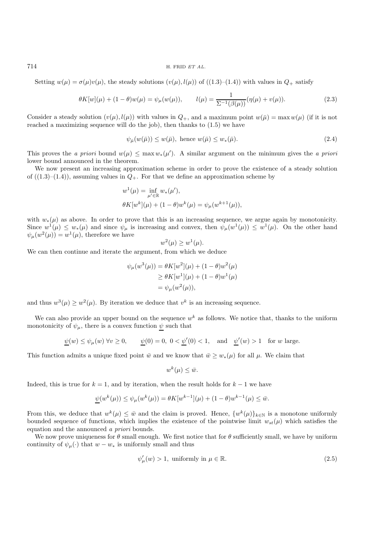714 H. FRID *ET AL.*

Setting  $w(\mu) = \sigma(\mu)v(\mu)$ , the steady solutions  $(v(\mu), l(\mu))$  of  $((1.3)–(1.4))$  with values in  $Q_+$  satisfy

$$
\theta K[w](\mu) + (1 - \theta)w(\mu) = \psi_{\mu}(w(\mu)), \qquad l(\mu) = \frac{1}{\Sigma^{-1}(\beta(\mu))} (\eta(\mu) + v(\mu)). \tag{2.3}
$$

Consider a steady solution  $(v(\mu), l(\mu))$  with values in  $Q_+$ , and a maximum point  $w(\bar{\mu}) = \max w(\mu)$  (if it is not reached a maximizing sequence will do the job), then thanks to (1.5) we have

$$
\psi_{\bar{\mu}}(w(\bar{\mu})) \le w(\bar{\mu}), \text{ hence } w(\bar{\mu}) \le w_*(\bar{\mu}). \tag{2.4}
$$

This proves the *a priori* bound  $w(\mu) \leq \max w_*(\mu')$ . A similar argument on the minimum gives the *a priori* lower bound announced in the theorem.

We now present an increasing approximation scheme in order to prove the existence of a steady solution of  $((1.3)–(1.4))$ , assuming values in  $Q_+$ . For that we define an approximation scheme by

$$
w^{1}(\mu) = \inf_{\mu' \in \mathbb{R}} w_{*}(\mu'),
$$
  

$$
\theta K[w^{k}](\mu) + (1 - \theta)w^{k}(\mu) = \psi_{\mu}(w^{k+1}(\mu)),
$$

with  $w_*(\mu)$  as above. In order to prove that this is an increasing sequence, we argue again by monotonicity. Since  $w^1(\mu) \leq w_*(\mu)$  and since  $\psi_\mu$  is increasing and convex, then  $\psi_\mu(w^1(\mu)) \leq w^1(\mu)$ . On the other hand  $\psi_{\mu}(w^2(\mu)) = w^1(\mu)$ , therefore we have

$$
w^2(\mu) \ge w^1(\mu).
$$

We can then continue and iterate the argument, from which we deduce

$$
\psi_{\mu}(w^{3}(\mu)) = \theta K[w^{2}](\mu) + (1 - \theta)w^{2}(\mu)
$$
  
\n
$$
\geq \theta K[w^{1}](\mu) + (1 - \theta)w^{1}(\mu)
$$
  
\n
$$
= \psi_{\mu}(w^{2}(\mu)),
$$

and thus  $w^3(\mu) \geq w^2(\mu)$ . By iteration we deduce that  $v^k$  is an increasing sequence.

We can also provide an upper bound on the sequence  $w^k$  as follows. We notice that, thanks to the uniform monotonicity of  $\psi_{\mu}$ , there is a convex function  $\psi$  such that

$$
\underline{\psi}(w) \le \psi_{\mu}(w) \,\, \forall v \ge 0, \qquad \underline{\psi}(0) = 0, \,\, 0 < \underline{\psi}'(0) < 1, \quad \text{and} \quad \underline{\psi}'(w) > 1 \quad \text{for } w \text{ large.}
$$

This function admits a unique fixed point  $\bar{w}$  and we know that  $\bar{w} \geq w_*(\mu)$  for all  $\mu$ . We claim that

$$
w^k(\mu) \le \bar{w}.
$$

Indeed, this is true for  $k = 1$ , and by iteration, when the result holds for  $k - 1$  we have

$$
\underline{\psi}(w^k(\mu))\leq \psi_\mu(w^k(\mu))=\theta K[w^{k-1}](\mu)+(1-\theta)w^{k-1}(\mu)\leq \bar{w}.
$$

From this, we deduce that  $w^k(\mu) \leq \bar{w}$  and the claim is proved. Hence,  $\{w^k(\mu)\}_{k\in\mathbb{N}}$  is a monotone uniformly bounded sequence of functions, which implies the existence of the pointwise limit  $w_{st}(\mu)$  which satisfies the equation and the announced *a priori* bounds.

We now prove uniqueness for  $\theta$  small enough. We first notice that for  $\theta$  sufficiently small, we have by uniform continuity of  $\psi_{\mu}(\cdot)$  that  $w - w_{*}$  is uniformly small and thus

$$
\psi_{\mu}'(w) > 1, \text{ uniformly in } \mu \in \mathbb{R}.\tag{2.5}
$$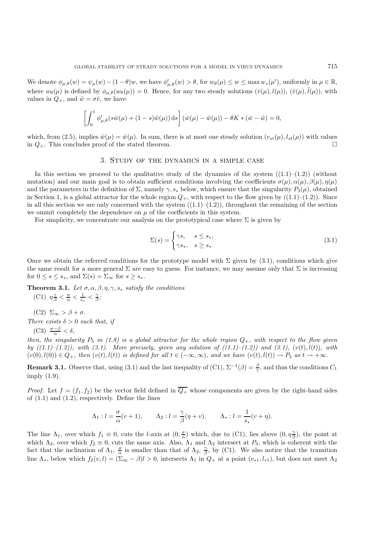We denote  $\phi_{\mu,\theta}(w) = \psi_{\mu}(w) - (1-\theta)w$ , we have  $\phi'_{\mu,\theta}(w) > \theta$ , for  $w_{\theta}(\mu) \le w \le \max w_*(\mu')$ , uniformly in  $\mu \in \mathbb{R}$ , where  $w_{\theta}(\mu)$  is defined by  $\phi_{\mu,\theta}(w_{\theta}(\mu)) = 0$ . Hence, for any two steady solutions  $(\bar{v}(\mu), l(\mu)), (\tilde{v}(\mu), \tilde{l}(\mu))$ , with values in  $Q_+$ , and  $\tilde{w} = \sigma \tilde{v}$ , we have

$$
\left[\int_0^1 \phi_{\mu,\theta}'(s\bar{w}(\mu) + (1-s)\tilde{w}(\mu)) ds\right](\bar{w}(\mu) - \tilde{w}(\mu)) - \theta K * (\bar{w} - \tilde{w}) = 0,
$$

which, from (2.5), implies  $\bar{w}(\mu)=\tilde{w}(\mu)$ . In sum, there is at most one steady solution  $(v_{st}(\mu), l_{st}(\mu))$  with values in  $Q_{+}$ . This concludes proof of the stated theorem.

## 3. Study of the dynamics in a simple case

In this section we proceed to the qualitative study of the dynamics of the system  $((1.1)–(1.2))$  (without mutation) and our main goal is to obtain sufficient conditions involving the coefficients  $\sigma(\mu)$ ,  $\alpha(\mu)$ ,  $\beta(\mu)$ ,  $\eta(\mu)$ and the parameters in the definition of  $\Sigma$ , namely  $\gamma$ ,  $s_*$  below, which ensure that the singularity  $P_3(\mu)$ , obtained in Section 1, is a global attractor for the whole region  $Q_+$ , with respect to the flow given by  $((1.1)–(1.2))$ . Since in all this section we are only concerned with the system  $((1.1)–(1.2))$ , throughout the remaining of the section we ommit completely the dependence on  $\mu$  of the coefficients in this system.

For simplicity, we concentrate our analysis on the prototypical case where  $\Sigma$  is given by

$$
\Sigma(s) = \begin{cases} \gamma s, & s \le s_*, \\ \gamma s_*, & s \ge s_*. \end{cases}
$$
\n(3.1)

Once we obtain the referred conditions for the prototype model with  $\Sigma$  given by (3.1), conditions which give the same result for a more general  $\Sigma$  are easy to guess. For instance, we may assume only that  $\Sigma$  is increasing for  $0 \leq s \leq s_*$ , and  $\Sigma(s)=\Sigma_{\infty}$  for  $s \geq s_*$ .

**Theorem 3.1.** *Let*  $\sigma$ ,  $\alpha$ ,  $\beta$ ,  $\eta$ ,  $\gamma$ ,  $s$ <sup>\*</sup> *satisfy the conditions* (C1)  $\eta_{\beta}^{\gamma} < \frac{\sigma}{\alpha} < \frac{1}{s_*} < \frac{\gamma}{\beta};$ 

(C2)  $\Sigma_{\infty} > \beta + \sigma$ .

*There exists*  $\delta > 0$  *such that, if* 

(C3)  $\frac{\sigma-\beta}{\alpha} < \delta$ ,

*then, the singularity*  $P_3$  *in* (1.8) *is a global attractor for the whole region*  $Q_+$ *, with respect to the flow given by*  $((1.1)-(1.2))$ *, with*  $(3.1)$ *. More precisely, given any solution of*  $((1.1)-(1.2))$  *and*  $(3.1)$ *,*  $(v(t), l(t))$ *, with*  $(v(0), l(0)) \in Q_+$ *, then*  $(v(t), l(t))$  *is defined for all*  $t \in (-\infty, \infty)$ *, and we have*  $(v(t), l(t)) \to P_3$  *as*  $t \to +\infty$ *.* 

**Remark 3.1.** Observe that, using (3.1) and the last inequality of (C1),  $\Sigma^{-1}(\beta) = \frac{\beta}{\gamma}$ , and thus the conditions  $C_1$ imply (1.9).

*Proof.* Let  $f = (f_1, f_2)$  be the vector field defined in  $\overline{Q_+}$  whose components are given by the right-hand sides of  $(1.1)$  and  $(1.2)$ , respectively. Define the lines

$$
\Lambda_1: l = \frac{\sigma}{\alpha}(v+1), \qquad \Lambda_2: l = \frac{\gamma}{\beta}(\eta+v), \qquad \Lambda_*: l = \frac{1}{s_*}(v+\eta).
$$

The line  $\Lambda_1$ , over which  $f_1 \equiv 0$ , cuts the *l*-axis at  $(0, \frac{\sigma}{\alpha})$  which, due to (C1), lies above  $(0, \eta \frac{\gamma}{\beta})$ , the point at which  $\Lambda_2$ , over which  $f_2 \equiv 0$ , cuts the same axis. Also,  $\Lambda_1$  and  $\Lambda_2$  intersect at  $P_3$ , which is coherent with the fact that the inclination of  $\Lambda_1$ ,  $\frac{\sigma}{\alpha}$  is smaller than that of  $\Lambda_2$ ,  $\frac{\gamma}{\beta}$ , by (C1). We also notice that the transition line  $\Lambda_*$ , below which  $f_2(v,l) = (\Sigma_{\infty} - \beta)l > 0$ , intersects  $\Lambda_1$  in  $Q_+$  at a point  $(v_{*1}, l_{*1})$ , but does not meet  $\Lambda_2$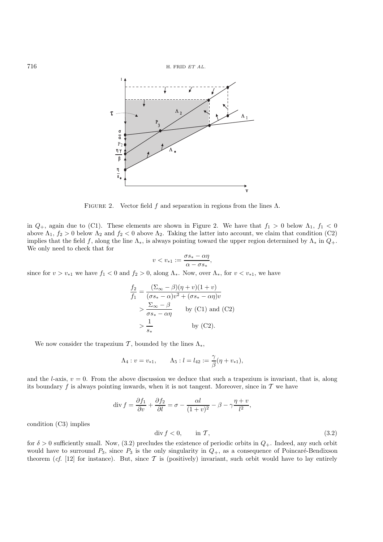

FIGURE 2. Vector field f and separation in regions from the lines  $\Lambda$ .

in  $Q_+$ , again due to (C1). These elements are shown in Figure 2. We have that  $f_1 > 0$  below  $\Lambda_1$ ,  $f_1 < 0$ above  $\Lambda_1$ ,  $f_2 > 0$  below  $\Lambda_2$  and  $f_2 < 0$  above  $\Lambda_2$ . Taking the latter into account, we claim that condition (C2) implies that the field f, along the line  $\Lambda_*$ , is always pointing toward the upper region determined by  $\Lambda_*$  in  $Q_+$ . We only need to check that for

$$
v < v_{*1} := \frac{\sigma s_* - \alpha \eta}{\alpha - \sigma s_*},
$$

since for  $v>v_{*1}$  we have  $f_1 < 0$  and  $f_2 > 0$ , along  $\Lambda_*$ . Now, over  $\Lambda_*$ , for  $v < v_{*1}$ , we have

$$
\frac{f_2}{f_1} = \frac{(\Sigma_{\infty} - \beta)(\eta + v)(1 + v)}{(\sigma s_* - \alpha)v^2 + (\sigma s_* - \alpha \eta)v}
$$
  
> 
$$
\frac{\Sigma_{\infty} - \beta}{\sigma s_* - \alpha \eta} \qquad \text{by (C1) and (C2)}
$$
  
> 
$$
\frac{1}{s_*} \qquad \text{by (C2).}
$$

We now consider the trapezium  $\mathcal{T}$ , bounded by the lines  $\Lambda_*$ ,

$$
\Lambda_4: v = v_{*1}, \qquad \Lambda_5: l = l_{42} := \frac{\gamma}{\beta}(\eta + v_{*1}),
$$

and the *l*-axis,  $v = 0$ . From the above discussion we deduce that such a trapezium is invariant, that is, along its boundary f is always pointing inwards, when it is not tangent. Moreover, since in  $\mathcal T$  we have

$$
\operatorname{div} f = \frac{\partial f_1}{\partial v} + \frac{\partial f_2}{\partial l} = \sigma - \frac{\alpha l}{(1+v)^2} - \beta - \gamma \frac{\eta + v}{l^2},
$$

condition (C3) implies

$$
\operatorname{div} f < 0, \qquad \text{in } \mathcal{T}, \tag{3.2}
$$

for  $\delta > 0$  sufficiently small. Now, (3.2) precludes the existence of periodic orbits in  $Q_+$ . Indeed, any such orbit would have to surround  $P_3$ , since  $P_3$  is the only singularity in  $Q_+$ , as a consequence of Poincaré-Bendixson theorem (*cf.* [12] for instance). But, since  $\mathcal T$  is (positively) invariant, such orbit would have to lay entirely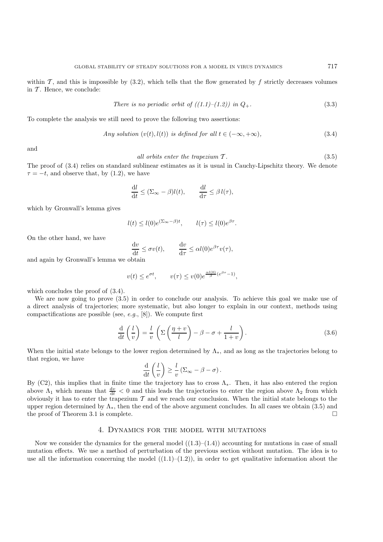within  $\mathcal{T}$ , and this is impossible by (3.2), which tells that the flow generated by f strictly decreases volumes in  $T$ . Hence, we conclude:

There is no periodic orbit of 
$$
((1.1)–(1.2))
$$
 in  $Q_+$ . (3.3)

To complete the analysis we still need to prove the following two assertions:

Any solution 
$$
(v(t), l(t))
$$
 is defined for all  $t \in (-\infty, +\infty)$ ,  $(3.4)$ 

and

$$
all orbits enter the trapezium T.
$$
\n
$$
(3.5)
$$

The proof of (3.4) relies on standard sublinear estimates as it is usual in Cauchy-Lipschitz theory. We denote  $\tau = -t$ , and observe that, by (1.2), we have

$$
\frac{\mathrm{d}l}{\mathrm{d}t} \leq (\Sigma_{\infty} - \beta)l(t), \qquad \frac{\mathrm{d}l}{\mathrm{d}\tau} \leq \beta l(\tau),
$$

which by Gronwall's lemma gives

$$
l(t) \le l(0)e^{(\Sigma_{\infty}-\beta)t}, \qquad l(\tau) \le l(0)e^{\beta\tau}.
$$

On the other hand, we have

$$
\frac{\mathrm{d}v}{\mathrm{d}t} \le \sigma v(t), \qquad \frac{\mathrm{d}v}{\mathrm{d}\tau} \le \alpha l(0)e^{\beta \tau} v(\tau),
$$

and again by Gronwall's lemma we obtain

$$
v(t) \leq e^{\sigma t}, \qquad v(\tau) \leq v(0)e^{\frac{\alpha l(0)}{\beta}(e^{\beta \tau}-1)},
$$

which concludes the proof of (3.4).

We are now going to prove (3.5) in order to conclude our analysis. To achieve this goal we make use of a direct analysis of trajectories; more systematic, but also longer to explain in our context, methods using compactifications are possible (see, *e.g.*, [8]). We compute first

$$
\frac{\mathrm{d}}{\mathrm{d}t}\left(\frac{l}{v}\right) = \frac{l}{v}\left(\Sigma\left(\frac{\eta+v}{l}\right) - \beta - \sigma + \frac{l}{1+v}\right). \tag{3.6}
$$

When the initial state belongs to the lower region determined by  $\Lambda_*$ , and as long as the trajectories belong to that region, we have

$$
\frac{\mathrm{d}}{\mathrm{d}t}\left(\frac{l}{v}\right) \geq \frac{l}{v}\left(\Sigma_\infty - \beta - \sigma\right).
$$

By (C2), this implies that in finite time the trajectory has to cross  $\Lambda_*$ . Then, it has also entered the region above  $\Lambda_1$  which means that  $\frac{dv}{dt} < 0$  and this leads the trajectories to enter the region above  $\Lambda_2$  from which obviously it has to enter the trapezium  $\mathcal T$  and we reach our conclusion. When the initial state belongs to the upper region determined by  $\Lambda_*$ , then the end of the above argument concludes. In all cases we obtain (3.5) and the proof of Theorem 3.1 is complete. the proof of Theorem 3.1 is complete.

#### 4. Dynamics for the model with mutations

Now we consider the dynamics for the general model  $((1.3)-(1.4))$  accounting for mutations in case of small mutation effects. We use a method of perturbation of the previous section without mutation. The idea is to use all the information concerning the model  $((1.1)-(1.2))$ , in order to get qualitative information about the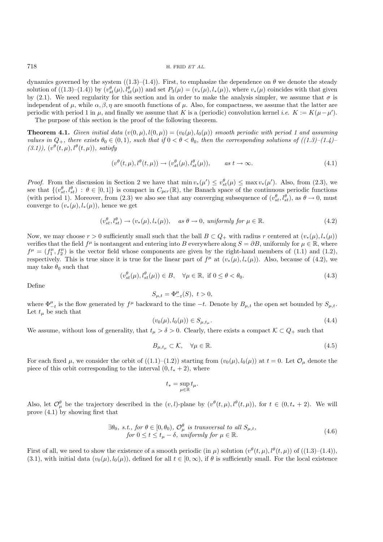dynamics governed by the system  $((1.3)–(1.4))$ . First, to emphasize the dependence on  $\theta$  we denote the steady solution of  $((1.3)-(1.4))$  by  $(v_{st}^{\theta}(\mu), l_{st}^{\theta}(\mu))$  and set  $P_3(\mu)=(v_*(\mu), l_*(\mu))$ , where  $v_*(\mu)$  coincides with that given by (2.1). We need regularity for this section and in order to make the analysis simpler, we assume that  $\sigma$  is independent of  $\mu$ , while  $\alpha$ ,  $\beta$ ,  $\eta$  are smooth functions of  $\mu$ . Also, for compactness, we assume that the latter are periodic with period 1 in  $\mu$ , and finally we assume that K is a (periodic) convolution kernel *i.e.*  $K := K(\mu - \mu')$ .

The purpose of this section is the proof of the following theorem.

**Theorem 4.1.** *Given initial data*  $(v(0, \mu), l(0, \mu)) = (v_0(\mu), l_0(\mu))$  *smooth periodic with period 1 and assuming values in*  $Q_+$ *, there exists*  $\theta_0 \in (0,1)$ *, such that if*  $0 < \theta < \theta_0$ *, then the corresponding solutions of*  $((1.3)$ – $(1.4)$ –  $(3.1)$ ),  $(v^{\theta}(t,\mu), l^{\theta}(t,\mu))$ *, satisfy* 

$$
(v^{\theta}(t,\mu), l^{\theta}(t,\mu)) \to (v^{\theta}_{st}(\mu), l^{\theta}_{st}(\mu)), \qquad \text{as } t \to \infty.
$$
 (4.1)

*Proof.* From the discussion in Section 2 we have that  $\min v_*(\mu') \leq v_{st}^{\theta}(\mu) \leq \max v_*(\mu')$ . Also, from (2.3), we see that  $\{(v_{st}^{\theta}, l_{st}^{\theta}) : \theta \in [0,1]\}$  is compact in  $C_{per}(\mathbb{R})$ , the Banach space of the continuous periodic functions (with period 1). Moreover, from (2.3) we also see that any converging subsequence of  $(v_{st}^{\theta}, l_{st}^{\theta})$ , as  $\theta \to 0$ , must converge to  $(v_*(\mu), l_*(\mu))$ , hence we get

$$
(v_{st}^{\theta}, l_{st}^{\theta}) \to (v_*(\mu), l_*(\mu)), \quad \text{as } \theta \to 0, \text{ uniformly for } \mu \in \mathbb{R}.
$$
 (4.2)

Now, we may choose  $r > 0$  sufficiently small such that the ball  $B \subset Q_+$  with radius r centered at  $(v_*(\mu), l_*(\mu))$ verifies that the field  $f^{\mu}$  is nontangent and entering into B everywhere along  $S = \partial B$ , uniformly for  $\mu \in \mathbb{R}$ , where  $f^{\mu} = (f_1^{\mu}, f_2^{\mu})$  is the vector field whose components are given by the right-hand members of (1.1) and (1.2), respectively. This is true since it is true for the linear part of  $f^{\mu}$  at  $(v_*(\mu), l_*(\mu))$ . Also, because of (4.2), we may take  $\theta_0$  such that

$$
(v_{st}^{\theta}(\mu), l_{st}^{\theta}(\mu)) \in B, \quad \forall \mu \in \mathbb{R}, \text{ if } 0 \le \theta < \theta_0. \tag{4.3}
$$

Define

$$
S_{\mu,t} = \Phi^{\mu}_{-t}(S), \ t > 0,
$$

where  $\Phi_{-t}^{\mu}$  is the flow generated by  $f^{\mu}$  backward to the time  $-t$ . Denote by  $B_{\mu,t}$  the open set bounded by  $S_{\mu,t}$ . Let  $t_{\mu}$  be such that

$$
(v_0(\mu), l_0(\mu)) \in S_{\mu, t_\mu}.\tag{4.4}
$$

We assume, without loss of generality, that  $t_{\mu} > \delta > 0$ . Clearly, there exists a compact  $K \subset Q_+$  such that

$$
B_{\mu,t_{\mu}} \subset \mathcal{K}, \quad \forall \mu \in \mathbb{R}.\tag{4.5}
$$

For each fixed  $\mu$ , we consider the orbit of  $((1.1)-(1.2))$  starting from  $(v_0(\mu), l_0(\mu))$  at  $t = 0$ . Let  $\mathcal{O}_{\mu}$  denote the piece of this orbit corresponding to the interval  $(0, t_* + 2)$ , where

$$
t_* = \sup_{\mu \in \mathbb{R}} t_{\mu}.
$$

Also, let  $\mathcal{O}_{\mu}^{\theta}$  be the trajectory described in the  $(v, l)$ -plane by  $(v^{\theta}(t, \mu), l^{\theta}(t, \mu))$ , for  $t \in (0, t_* + 2)$ . We will prove (4.1) by showing first that

$$
\exists \theta_0, \text{ s.t., for } \theta \in [0, \theta_0), \mathcal{O}_{\mu}^{\theta} \text{ is transversal to all } S_{\mu, t},
$$
  
for  $0 \le t \le t_{\mu} - \delta$ , uniformly for  $\mu \in \mathbb{R}$ . (4.6)

First of all, we need to show the existence of a smooth periodic (in  $\mu$ ) solution  $(v^{\theta}(t, \mu), l^{\theta}(t, \mu))$  of  $((1.3)–(1.4))$ , (3.1), with initial data  $(v_0(\mu), l_0(\mu))$ , defined for all  $t \in [0, \infty)$ , if  $\theta$  is sufficiently small. For the local existence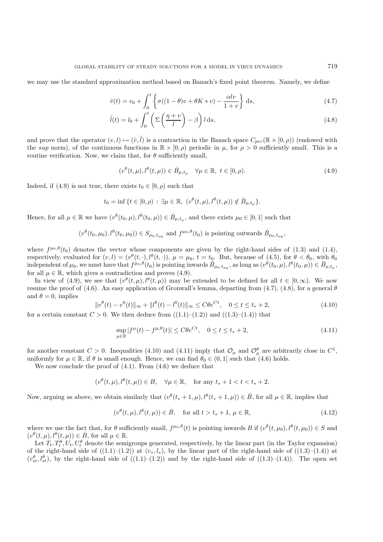we may use the standard approximation method based on Banach's fixed point theorem. Namely, we define

$$
\tilde{v}(t) = v_0 + \int_0^t \left\{ \sigma((1-\theta)v + \theta K * v) - \frac{\alpha l v}{1+v} \right\} ds,
$$
\n(4.7)

$$
\tilde{l}(t) = l_0 + \int_0^t \left( \Sigma \left( \frac{\eta + v}{l} \right) - \beta \right) l \, \mathrm{d}s,\tag{4.8}
$$

and prove that the operator  $(v, l) \mapsto (\tilde{v}, \tilde{l})$  is a contraction in the Banach space  $C_{per}(\mathbb{R} \times [0, \rho))$  (endowed with the sup norm), of the continuous functions in  $\mathbb{R} \times [0, \rho)$  periodic in  $\mu$ , for  $\rho > 0$  sufficiently small. This is a routine verification. Now, we claim that, for  $\theta$  sufficiently small,

$$
(v^{\theta}(t,\mu),l^{\theta}(t,\mu)) \in \bar{B}_{\mu,t_{\mu}} \quad \forall \mu \in \mathbb{R}, \ t \in [0,\rho). \tag{4.9}
$$

Indeed, if (4.9) is not true, there exists  $t_0 \in [0, \rho)$  such that

$$
t_0 = \inf \{ t \in [0, \rho) : \exists \mu \in \mathbb{R}, \ (v^{\theta}(t, \mu), l^{\theta}(t, \mu)) \notin \overline{B}_{\mu, t_{\mu}} \}.
$$

Hence, for all  $\mu \in \mathbb{R}$  we have  $(v^{\theta}(t_0, \mu), l^{\theta}(t_0, \mu)) \in \overline{B}_{u,t_u}$ , and there exists  $\mu_0 \in [0, 1]$  such that

$$
(v^{\theta}(t_0,\mu_0),l^{\theta}(t_0,\mu_0)) \in S_{\mu_0,t_{\mu_0}}
$$
 and  $f^{\mu_0,\theta}(t_0)$  is pointing outwards  $\bar{B}_{\mu_0,t_{\mu_0}}$ ,

where  $f^{\mu_0,\theta}(t_0)$  denotes the vector whose components are given by the right-hand sides of (1.3) and (1.4), respectively, evaluated for  $(v, l)=(v^{\theta}(t, \cdot), l^{\theta}(t, \cdot)), \mu=\mu_0, t=t_0$ . But, because of (4.5), for  $\theta < \theta_0$ , with  $\theta_0$ independent of  $\mu_0$ , we must have that  $f^{\mu_0, \theta}(t_0)$  is pointing inwards  $\bar{B}_{\mu_0,t_{\mu_0}},$  as long as  $(v^{\theta}(t_0, \mu), l^{\theta}(t_0, \mu)) \in \bar{B}_{\mu,t_n}$ , for all  $\mu \in \mathbb{R}$ , which gives a contradiction and proves (4.9).

In view of (4.9), we see that  $(v^{\theta}(t,\mu), l^{\theta}(t,\mu))$  may be extended to be defined for all  $t \in [0,\infty)$ . We now resume the proof of (4.6). An easy application of Gronwall's lemma, departing from (4.7), (4.8), for a general  $\theta$ and  $\theta = 0$ , implies

$$
||v^{\theta}(t) - v^{0}(t)||_{\infty} + ||l^{\theta}(t) - l^{0}(t)||_{\infty} \le C\theta e^{Ct}, \quad 0 \le t \le t_{*} + 2,
$$
\n(4.10)\n
$$
f(x) = \frac{1}{2} \int_{-\infty}^{\infty} |v^{0}(t) - v^{0}(t)||_{\infty} \le C\theta e^{Ct}, \quad 0 \le t \le t_{*} + 2,
$$

for a certain constant  $C > 0$ . We then deduce from  $((1.1)–(1.2))$  and  $((1.3)–(1.4))$  that

$$
\sup_{\mu \in \mathbb{R}} |f^{\mu}(t) - f^{\mu,\theta}(t)| \le C \theta e^{Ct}, \quad 0 \le t \le t_* + 2,
$$
\n(4.11)

for another constant  $C > 0$ . Inequalities (4.10) and (4.11) imply that  $\mathcal{O}_{\mu}$  and  $\mathcal{O}_{\mu}^{\theta}$  are arbitrarily close in  $C^1$ , uniformly for  $\mu \in \mathbb{R}$ , if  $\theta$  is small enough. Hence, we can find  $\theta_0 \in (0,1]$  such that (4.6) holds.

We now conclude the proof of  $(4.1)$ . From  $(4.6)$  we deduce that

 $(v^{\theta}(t,\mu), l^{\theta}(t,\mu)) \in B$ ,  $\forall \mu \in \mathbb{R}$ , for any  $t_* + 1 < t < t_* + 2$ .

Now, arguing as above, we obtain similarly that  $(v^{\theta}(t_{*}+1,\mu), l^{\theta}(t_{*}+1,\mu)) \in \bar{B}$ , for all  $\mu \in \mathbb{R}$ , implies that

$$
(v^{\theta}(t,\mu),l^{\theta}(t,\mu)) \in \bar{B}, \quad \text{for all } t > t_*+1, \mu \in \mathbb{R}, \tag{4.12}
$$

where we use the fact that, for  $\theta$  sufficiently small,  $f^{\mu_0,\theta}(t)$  is pointing inwards B if  $(v^{\theta}(t,\mu_0), l^{\theta}(t,\mu_0)) \in S$  and  $(v^{\theta}(t,\mu), l^{\theta}(t,\mu)) \in \overline{B}$ , for all  $\mu \in \mathbb{R}$ .

Let  $T_t, T_t^{\theta}, U_t, U_t^{\theta}$  denote the semigroups generated, respectively, by the linear part (in the Taylor expansion) of the right-hand side of  $((1.1)–(1.2))$  at  $(v_*, l_*)$ , by the linear part of the right-hand side of  $((1.3)–(1.4))$  at  $(v_{st}^{\theta}, l_{st}^{\theta})$ , by the right-hand side of  $((1.1)-(1.2))$  and by the right-hand side of  $((1.3)-(1.4))$ . The open set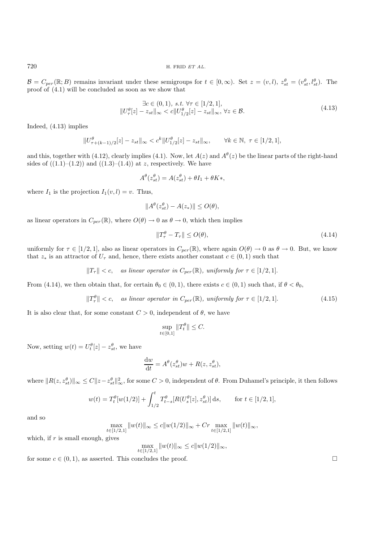720 H. FRID *ET AL.*

 $\mathcal{B} = C_{per}(\mathbb{R};B)$  remains invariant under these semigroups for  $t \in [0,\infty)$ . Set  $z = (v,l)$ ,  $z_{st}^{\theta} = (v_{st}^{\theta}, l_{st}^{\theta})$ . The proof of (4.1) will be concluded as soon as we show that

$$
\exists c \in (0,1), \, s.t. \, \forall \tau \in [1/2,1],\|U^{\theta}_{\tau}[z] - z_{st}\|_{\infty} < c \|U^{\theta}_{1/2}[z] - z_{st}\|_{\infty}, \forall z \in \mathcal{B}.
$$
\n(4.13)

Indeed, (4.13) implies

$$
||U^{\theta}_{\tau+(k-1)/2}[z] - z_{st}||_{\infty} < c^k ||U^{\theta}_{1/2}[z] - z_{st}||_{\infty}, \qquad \forall k \in \mathbb{N}, \ \tau \in [1/2, 1],
$$

and this, together with (4.12), clearly implies (4.1). Now, let  $A(z)$  and  $A<sup>\theta</sup>(z)$  be the linear parts of the right-hand sides of  $((1.1)–(1.2))$  and  $((1.3)–(1.4))$  at z, respectively. We have

$$
A^{\theta}(z_{st}^{\theta}) = A(z_{st}^{\theta}) + \theta I_1 + \theta K_*,
$$

where  $I_1$  is the projection  $I_1(v, l) = v$ . Thus,

$$
||A^{\theta}(z_{st}^{\theta}) - A(z_{*})|| \le O(\theta),
$$

as linear operators in  $C_{per}(\mathbb{R})$ , where  $O(\theta) \to 0$  as  $\theta \to 0$ , which then implies

$$
||T_{\tau}^{\theta} - T_{\tau}|| \le O(\theta),\tag{4.14}
$$

uniformly for  $\tau \in [1/2, 1]$ , also as linear operators in  $C_{per}(\mathbb{R})$ , where again  $O(\theta) \to 0$  as  $\theta \to 0$ . But, we know that  $z_*$  is an attractor of  $U_{\tau}$  and, hence, there exists another constant  $c \in (0,1)$  such that

$$
||T_{\tau}|| < c
$$
, as linear operator in  $C_{per}(\mathbb{R})$ , uniformly for  $\tau \in [1/2, 1]$ .

From (4.14), we then obtain that, for certain  $\theta_0 \in (0,1)$ , there exists  $c \in (0,1)$  such that, if  $\theta < \theta_0$ ,

$$
||T_{\tau}^{\theta}|| < c, \quad \text{as linear operator in } C_{per}(\mathbb{R}), \text{ uniformly for } \tau \in [1/2, 1]. \tag{4.15}
$$

It is also clear that, for some constant  $C > 0$ , independent of  $\theta$ , we have

$$
\sup_{t \in [0,1]} \|T_t^{\theta}\| \le C.
$$

Now, setting  $w(t) = U_t^{\theta}[z] - z_{st}^{\theta}$ , we have

$$
\frac{\mathrm{d}w}{\mathrm{d}t} = A^{\theta}(z_{st}^{\theta})w + R(z, z_{st}^{\theta}),
$$

where  $||R(z, z_{st}^{\theta})||_{\infty} \leq C||z-z_{st}^{\theta}||_{\infty}^2$ , for some  $C > 0$ , independent of  $\theta$ . From Duhamel's principle, it then follows

$$
w(t) = T_t^{\theta}[w(1/2)] + \int_{1/2}^t T_{t-s}^{\theta}[R(U_s^{\theta}[z], z_{st}^{\theta})] ds, \quad \text{for } t \in [1/2, 1],
$$

and so

 $\max_{t \in [1/2,1]} \|w(t)\|_{\infty} \leq c \|w(1/2)\|_{\infty} + Cr \max_{t \in [1/2,1]} \|w(t)\|_{\infty},$ 

which, if  $r$  is small enough, gives

 $\max_{t \in [1/2,1]} \|w(t)\|_{\infty} \leq c \|w(1/2)\|_{\infty},$ 

for some  $c \in (0, 1)$ , as asserted. This concludes the proof.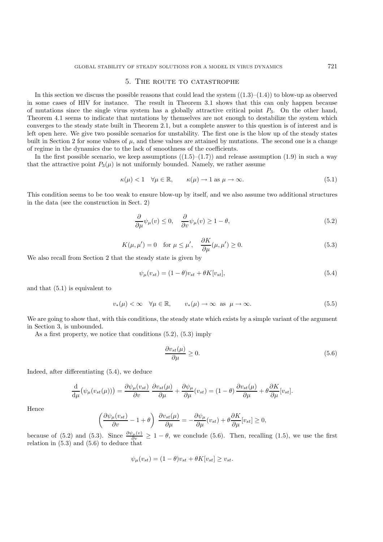#### 5. The route to catastrophe

In this section we discuss the possible reasons that could lead the system  $((1.3)–(1.4))$  to blow-up as observed in some cases of HIV for instance. The result in Theorem 3.1 shows that this can only happen because of mutations since the single virus system has a globally attractive critical point  $P_3$ . On the other hand, Theorem 4.1 seems to indicate that mutations by themselves are not enough to destabilize the system which converges to the steady state built in Theorem 2.1, but a complete answer to this question is of interest and is left open here. We give two possible scenarios for unstability. The first one is the blow up of the steady states built in Section 2 for some values of  $\mu$ , and these values are attained by mutations. The second one is a change of regime in the dynamics due to the lack of smoothness of the coefficients.

In the first possible scenario, we keep assumptions  $((1.5)-(1.7))$  and release assumption  $(1.9)$  in such a way that the attractive point  $P_3(\mu)$  is not uniformly bounded. Namely, we rather assume

$$
\kappa(\mu) < 1 \quad \forall \mu \in \mathbb{R}, \qquad \kappa(\mu) \to 1 \text{ as } \mu \to \infty. \tag{5.1}
$$

This condition seems to be too weak to ensure blow-up by itself, and we also assume two additional structures in the data (see the construction in Sect. 2)

$$
\frac{\partial}{\partial \mu}\psi_{\mu}(v) \le 0, \quad \frac{\partial}{\partial v}\psi_{\mu}(v) \ge 1 - \theta,
$$
\n(5.2)

$$
K(\mu, \mu') = 0 \quad \text{for } \mu \le \mu', \quad \frac{\partial K}{\partial \mu}(\mu, \mu') \ge 0. \tag{5.3}
$$

We also recall from Section 2 that the steady state is given by

$$
\psi_{\mu}(v_{st}) = (1 - \theta)v_{st} + \theta K[v_{st}], \qquad (5.4)
$$

and that (5.1) is equivalent to

$$
v_*(\mu) < \infty \quad \forall \mu \in \mathbb{R}, \qquad v_*(\mu) \to \infty \quad \text{as} \quad \mu \to \infty. \tag{5.5}
$$

We are going to show that, with this conditions, the steady state which exists by a simple variant of the argument in Section 3, is unbounded.

As a first property, we notice that conditions (5.2), (5.3) imply

$$
\frac{\partial v_{st}(\mu)}{\partial \mu} \ge 0. \tag{5.6}
$$

Indeed, after differentiating (5.4), we deduce

$$
\frac{\mathrm{d}}{\mathrm{d}\mu}(\psi_{\mu}(v_{st}(\mu))) = \frac{\partial \psi_{\mu}(v_{st})}{\partial v} \frac{\partial v_{st}(\mu)}{\partial \mu} + \frac{\partial \psi_{\mu}}{\partial \mu}(v_{st}) = (1 - \theta) \frac{\partial v_{st}(\mu)}{\partial \mu} + \theta \frac{\partial K}{\partial \mu}[v_{st}].
$$

Hence

$$
\left(\frac{\partial \psi_{\mu}(v_{st})}{\partial v} - 1 + \theta\right) \frac{\partial v_{st}(\mu)}{\partial \mu} = -\frac{\partial \psi_{\mu}}{\partial \mu}(v_{st}) + \theta \frac{\partial K}{\partial \mu}[v_{st}] \ge 0,
$$

because of (5.2) and (5.3). Since  $\frac{\partial \psi_{\mu}(v)}{\partial v} \geq 1 - \theta$ , we conclude (5.6). Then, recalling (1.5), we use the first relation in (5.3) and (5.6) to deduce that

$$
\psi_{\mu}(v_{st}) = (1 - \theta)v_{st} + \theta K[v_{st}] \ge v_{st}.
$$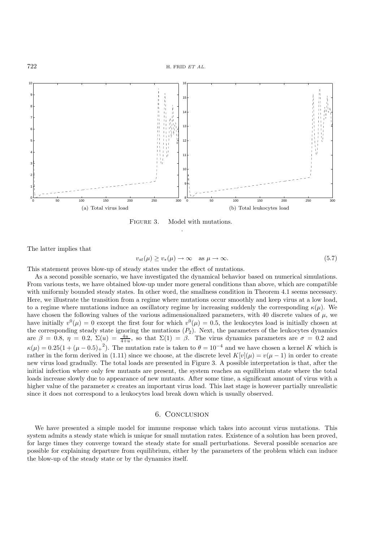

FIGURE 3. Model with mutations. .

The latter implies that

$$
v_{st}(\mu) \ge v_*(\mu) \to \infty \quad \text{as } \mu \to \infty. \tag{5.7}
$$

This statement proves blow-up of steady states under the effect of mutations.

As a second possible scenario, we have investigated the dynamical behavior based on numerical simulations. From various tests, we have obtained blow-up under more general conditions than above, which are compatible with uniformly bounded steady states. In other word, the smallness condition in Theorem 4.1 seems necessary. Here, we illustrate the transition from a regime where mutations occur smoothly and keep virus at a low load, to a regime where mutations induce an oscillatory regime by increasing suddenly the corresponding  $\kappa(u)$ . We have chosen the following values of the various adimensionalized parameters, with 40 discrete values of  $\mu$ , we have initially  $v^0(\mu) = 0$  except the first four for which  $v^0(\mu) = 0.5$ , the leukocytes load is initially chosen at the corresponding steady state ignoring the mutations  $(P_2)$ . Next, the parameters of the leukocytes dynamics are  $\beta = 0.8, \eta = 0.2, \Sigma(u) = \frac{4u}{4+u}$ , so that  $\Sigma(1) = \beta$ . The virus dynamics parameters are  $\sigma = 0.2$  and  $\kappa(\mu) = 0.25(1 + (\mu - 0.5)_+^2)$ . The mutation rate is taken to  $\theta = 10^{-4}$  and we have chosen a kernel K which is rather in the form derived in (1.11) since we choose, at the discrete level  $K[v](\mu) = v(\mu - 1)$  in order to create new virus load gradually. The total loads are presented in Figure 3. A possible interpretation is that, after the initial infection where only few mutants are present, the system reaches an equilibrium state where the total loads increase slowly due to appearance of new mutants. After some time, a significant amount of virus with a higher value of the parameter  $\kappa$  creates an important virus load. This last stage is however partially unrealistic since it does not correspond to a leukocytes load break down which is usually observed.

# 6. Conclusion

We have presented a simple model for immune response which takes into account virus mutations. This system admits a steady state which is unique for small mutation rates. Existence of a solution has been proved, for large times they converge toward the steady state for small perturbations. Several possible scenarios are possible for explaining departure from equilibrium, either by the parameters of the problem which can induce the blow-up of the steady state or by the dynamics itself.